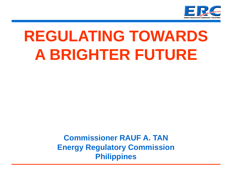

# **REGULATING TOWARDS A BRIGHTER FUTURE**

**Commissioner RAUF A. TAN Energy Regulatory Commission Philippines**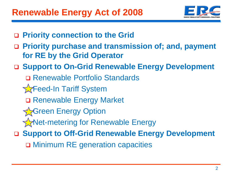

- **Priority connection to the Grid**
- **Priority purchase and transmission of; and, payment for RE by the Grid Operator**
- **Support to On-Grid Renewable Energy Development**
	- Renewable Portfolio Standards
	- **T**Feed-In Tariff System
		- □ Renewable Energy Market
	- **Green Energy Option**
	- **Net-metering for Renewable Energy**
- **Support to Off-Grid Renewable Energy Development**
	- Minimum RE generation capacities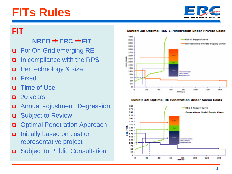# **FITs Rules**



#### **FIT**

#### $NREB \rightarrow ERC \rightarrow FIT$

- □ For On-Grid emerging RE
- □ In compliance with the RPS
- **D** Per technology & size
- Fixed
- Time of Use
- □ 20 years
- Annual adjustment; Degression
- **□** Subject to Review
- **Optimal Penetration Approach**
- □ Initially based on cost or representative project
- □ Subject to Public Consultation

**Exhibit 30: Optimal RES-E Penetration under Private Costs** 4.003 RES-E Supply Curve  $375$ 





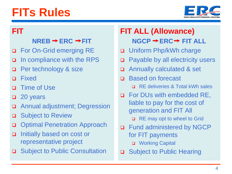# **FITs Rules**



#### **FIT**

#### $NREB \rightarrow ERC \rightarrow FIT$

- □ For On-Grid emerging RE
- □ In compliance with the RPS
- **Q** Per technology & size
- Fixed
- **Q** Time of Use
- □ 20 years
- Annual adjustment; Degression
- **□** Subject to Review
- **Optimal Penetration Approach**
- □ Initially based on cost or representative project
- □ Subject to Public Consultation

### **FIT ALL (Allowance) NGCP → ERC → FIT ALL**

- □ Uniform Php/kWh charge
- □ Payable by all electricity users
- Annually calculated & set
- □ Based on forecast
	- RE deliveries & Total kWh sales
- **D** For DUs with embedded RE, liable to pay for the cost of generation and FIT All □ RE may opt to wheel to Grid
- □ Fund administered by NGCP for FIT payments
	- **D** Working Capital
- □ Subject to Public Hearing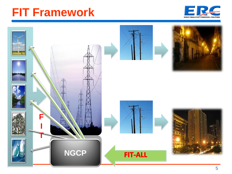

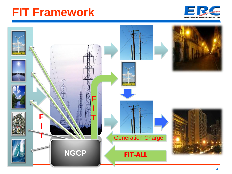

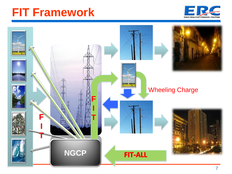

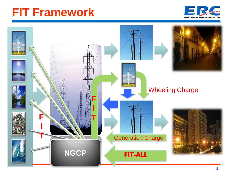

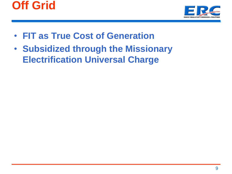



- **FIT as True Cost of Generation**
- **Subsidized through the Missionary Electrification Universal Charge**